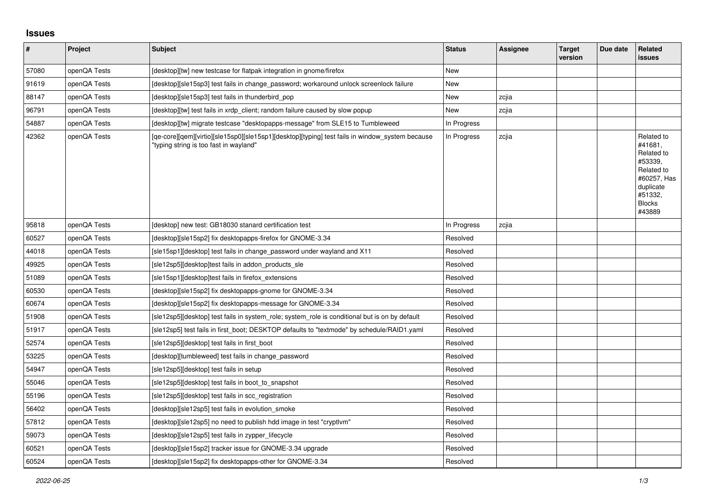## **Issues**

| #     | Project      | <b>Subject</b>                                                                                                                            | <b>Status</b> | Assignee | <b>Target</b><br>version | Due date | Related<br><b>issues</b>                                                                                                       |
|-------|--------------|-------------------------------------------------------------------------------------------------------------------------------------------|---------------|----------|--------------------------|----------|--------------------------------------------------------------------------------------------------------------------------------|
| 57080 | openQA Tests | [desktop][tw] new testcase for flatpak integration in gnome/firefox                                                                       | <b>New</b>    |          |                          |          |                                                                                                                                |
| 91619 | openQA Tests | [desktop][sle15sp3] test fails in change password; workaround unlock screenlock failure                                                   | New           |          |                          |          |                                                                                                                                |
| 88147 | openQA Tests | Idesktoplisle15sp3] test fails in thunderbird pop                                                                                         | New           | zcjia    |                          |          |                                                                                                                                |
| 96791 | openQA Tests | [desktop][tw] test fails in xrdp client; random failure caused by slow popup                                                              | New           | zcjia    |                          |          |                                                                                                                                |
| 54887 | openQA Tests | [desktop][tw] migrate testcase "desktopapps-message" from SLE15 to Tumbleweed                                                             | In Progress   |          |                          |          |                                                                                                                                |
| 42362 | openQA Tests | [qe-core][qem][virtio][sle15sp0][sle15sp1][desktop][typing] test fails in window_system because<br>"typing string is too fast in wayland" | In Progress   | zcjia    |                          |          | Related to<br>#41681,<br>Related to<br>#53339,<br>Related to<br>#60257, Has<br>duplicate<br>#51332,<br><b>Blocks</b><br>#43889 |
| 95818 | openQA Tests | [desktop] new test: GB18030 stanard certification test                                                                                    | In Progress   | zcjia    |                          |          |                                                                                                                                |
| 60527 | openQA Tests | [desktop][sle15sp2] fix desktopapps-firefox for GNOME-3.34                                                                                | Resolved      |          |                          |          |                                                                                                                                |
| 44018 | openQA Tests | [sle15sp1][desktop] test fails in change_password under wayland and X11                                                                   | Resolved      |          |                          |          |                                                                                                                                |
| 49925 | openQA Tests | [sle12sp5][desktop]test fails in addon_products_sle                                                                                       | Resolved      |          |                          |          |                                                                                                                                |
| 51089 | openQA Tests | [sle15sp1][desktop]test fails in firefox extensions                                                                                       | Resolved      |          |                          |          |                                                                                                                                |
| 60530 | openQA Tests | [desktop][sle15sp2] fix desktopapps-gnome for GNOME-3.34                                                                                  | Resolved      |          |                          |          |                                                                                                                                |
| 60674 | openQA Tests | [desktop][sle15sp2] fix desktopapps-message for GNOME-3.34                                                                                | Resolved      |          |                          |          |                                                                                                                                |
| 51908 | openQA Tests | [sle12sp5][desktop] test fails in system role; system role is conditional but is on by default                                            | Resolved      |          |                          |          |                                                                                                                                |
| 51917 | openQA Tests | [sle12sp5] test fails in first boot; DESKTOP defaults to "textmode" by schedule/RAID1.yaml                                                | Resolved      |          |                          |          |                                                                                                                                |
| 52574 | openQA Tests | [sle12sp5][desktop] test fails in first boot                                                                                              | Resolved      |          |                          |          |                                                                                                                                |
| 53225 | openQA Tests | [desktop][tumbleweed] test fails in change_password                                                                                       | Resolved      |          |                          |          |                                                                                                                                |
| 54947 | openQA Tests | [sle12sp5][desktop] test fails in setup                                                                                                   | Resolved      |          |                          |          |                                                                                                                                |
| 55046 | openQA Tests | [sle12sp5][desktop] test fails in boot_to_snapshot                                                                                        | Resolved      |          |                          |          |                                                                                                                                |
| 55196 | openQA Tests | [sle12sp5][desktop] test fails in scc_registration                                                                                        | Resolved      |          |                          |          |                                                                                                                                |
| 56402 | openQA Tests | [desktop][sle12sp5] test fails in evolution smoke                                                                                         | Resolved      |          |                          |          |                                                                                                                                |
| 57812 | openQA Tests | [desktop][sle12sp5] no need to publish hdd image in test "cryptlym"                                                                       | Resolved      |          |                          |          |                                                                                                                                |
| 59073 | openQA Tests | [desktop][sle12sp5] test fails in zypper lifecycle                                                                                        | Resolved      |          |                          |          |                                                                                                                                |
| 60521 | openQA Tests | [desktop][sle15sp2] tracker issue for GNOME-3.34 upgrade                                                                                  | Resolved      |          |                          |          |                                                                                                                                |
| 60524 | openQA Tests | [desktop][sle15sp2] fix desktopapps-other for GNOME-3.34                                                                                  | Resolved      |          |                          |          |                                                                                                                                |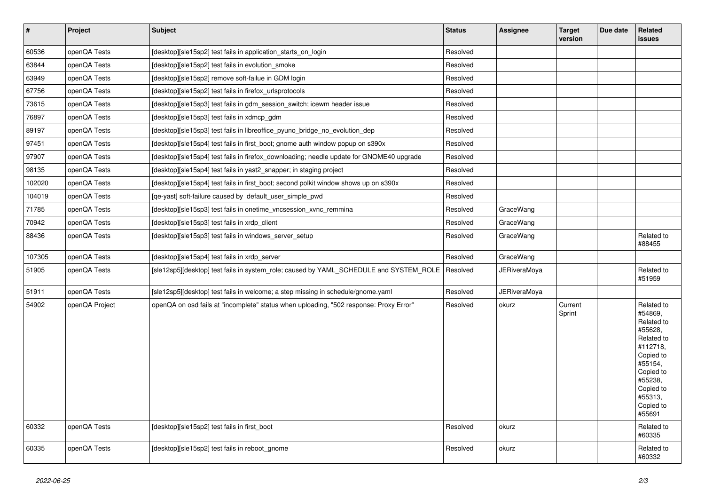| $\vert$ # | <b>Project</b> | <b>Subject</b>                                                                           | <b>Status</b> | <b>Assignee</b>     | <b>Target</b><br>version | Due date | <b>Related</b><br><b>issues</b>                                                                                                                                         |
|-----------|----------------|------------------------------------------------------------------------------------------|---------------|---------------------|--------------------------|----------|-------------------------------------------------------------------------------------------------------------------------------------------------------------------------|
| 60536     | openQA Tests   | [desktop][sle15sp2] test fails in application_starts_on_login                            | Resolved      |                     |                          |          |                                                                                                                                                                         |
| 63844     | openQA Tests   | [desktop][sle15sp2] test fails in evolution smoke                                        | Resolved      |                     |                          |          |                                                                                                                                                                         |
| 63949     | openQA Tests   | Idesktopl[sle15sp2] remove soft-failue in GDM login                                      | Resolved      |                     |                          |          |                                                                                                                                                                         |
| 67756     | openQA Tests   | Idesktoplisle15sp2] test fails in firefox urlsprotocols                                  | Resolved      |                     |                          |          |                                                                                                                                                                         |
| 73615     | openQA Tests   | [desktop][sle15sp3] test fails in gdm session switch; icewm header issue                 | Resolved      |                     |                          |          |                                                                                                                                                                         |
| 76897     | openQA Tests   | [desktop][sle15sp3] test fails in xdmcp gdm                                              | Resolved      |                     |                          |          |                                                                                                                                                                         |
| 89197     | openQA Tests   | [desktop][sle15sp3] test fails in libreoffice pyuno bridge no evolution dep              | Resolved      |                     |                          |          |                                                                                                                                                                         |
| 97451     | openQA Tests   | [desktop][sle15sp4] test fails in first_boot; gnome auth window popup on s390x           | Resolved      |                     |                          |          |                                                                                                                                                                         |
| 97907     | openQA Tests   | [desktop][sle15sp4] test fails in firefox_downloading; needle update for GNOME40 upgrade | Resolved      |                     |                          |          |                                                                                                                                                                         |
| 98135     | openQA Tests   | [desktop][sle15sp4] test fails in yast2_snapper; in staging project                      | Resolved      |                     |                          |          |                                                                                                                                                                         |
| 102020    | openQA Tests   | [desktop][sle15sp4] test fails in first boot; second polkit window shows up on s390x     | Resolved      |                     |                          |          |                                                                                                                                                                         |
| 104019    | openQA Tests   | [ge-yast] soft-failure caused by default user simple pwd                                 | Resolved      |                     |                          |          |                                                                                                                                                                         |
| 71785     | openQA Tests   | [desktop][sle15sp3] test fails in onetime vncsession xvnc remmina                        | Resolved      | GraceWang           |                          |          |                                                                                                                                                                         |
| 70942     | openQA Tests   | [desktop][sle15sp3] test fails in xrdp_client                                            | Resolved      | GraceWang           |                          |          |                                                                                                                                                                         |
| 88436     | openQA Tests   | [desktop][sle15sp3] test fails in windows server setup                                   | Resolved      | GraceWang           |                          |          | Related to<br>#88455                                                                                                                                                    |
| 107305    | openQA Tests   | [desktop][sle15sp4] test fails in xrdp_server                                            | Resolved      | GraceWang           |                          |          |                                                                                                                                                                         |
| 51905     | openQA Tests   | [sle12sp5][desktop] test fails in system_role; caused by YAML_SCHEDULE and SYSTEM_ROLE   | Resolved      | JERiveraMoya        |                          |          | Related to<br>#51959                                                                                                                                                    |
| 51911     | openQA Tests   | [sle12sp5][desktop] test fails in welcome; a step missing in schedule/gnome.yaml         | Resolved      | <b>JERiveraMoya</b> |                          |          |                                                                                                                                                                         |
| 54902     | openQA Project | openQA on osd fails at "incomplete" status when uploading, "502 response: Proxy Error"   | Resolved      | okurz               | Current<br>Sprint        |          | Related to<br>#54869,<br>Related to<br>#55628,<br>Related to<br>#112718,<br>Copied to<br>#55154,<br>Copied to<br>#55238,<br>Copied to<br>#55313,<br>Copied to<br>#55691 |
| 60332     | openQA Tests   | [desktop][sle15sp2] test fails in first_boot                                             | Resolved      | okurz               |                          |          | Related to<br>#60335                                                                                                                                                    |
| 60335     | openQA Tests   | [desktop][sle15sp2] test fails in reboot gnome                                           | Resolved      | okurz               |                          |          | Related to<br>#60332                                                                                                                                                    |